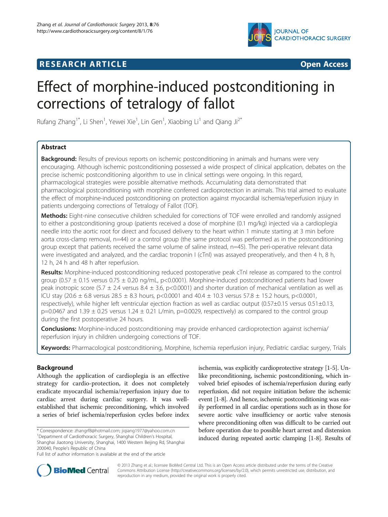# **IOURNAL OF CARDIOTHORACIC SURGERY**

# **RESEARCH ARTICLE Example 2014 CONSIDERING CONSIDERING CONSIDERING CONSIDERING CONSIDERING CONSIDERING CONSIDERING CONSIDERING CONSIDERING CONSIDERING CONSIDERING CONSIDERING CONSIDERING CONSIDERING CONSIDERING CONSIDE**



# Effect of morphine-induced postconditioning in corrections of tetralogy of fallot

Rufang Zhang<sup>1\*</sup>, Li Shen<sup>1</sup>, Yewei Xie<sup>1</sup>, Lin Gen<sup>1</sup>, Xiaobing Li<sup>1</sup> and Qiang Ji<sup>2\*</sup>

# Abstract

**Background:** Results of previous reports on ischemic postconditioning in animals and humans were very encouraging. Although ischemic postconditioning possessed a wide prospect of clinical application, debates on the precise ischemic postconditioning algorithm to use in clinical settings were ongoing. In this regard, pharmacological strategies were possible alternative methods. Accumulating data demonstrated that pharmacological postconditioning with morphine conferred cardioprotection in animals. This trial aimed to evaluate the effect of morphine-induced postconditioning on protection against myocardial ischemia/reperfusion injury in patients undergoing corrections of Tetralogy of Fallot (TOF).

Methods: Eight-nine consecutive children scheduled for corrections of TOF were enrolled and randomly assigned to either a postconditioning group (patients received a dose of morphine (0.1 mg/kg) injected via a cardioplegia needle into the aortic root for direct and focused delivery to the heart within 1 minute starting at 3 min before aorta cross-clamp removal, n=44) or a control group (the same protocol was performed as in the postconditioning group except that patients received the same volume of saline instead, n=45). The peri-operative relevant data were investigated and analyzed, and the cardiac troponin I (cTnI) was assayed preoperatively, and then 4 h, 8 h, 12 h, 24 h and 48 h after reperfusion.

Results: Morphine-induced postconditioning reduced postoperative peak cTnI release as compared to the control group (0.57  $\pm$  0.15 versus 0.75  $\pm$  0.20 ng/mL, p<0.0001). Morphine-induced postconditioned patients had lower peak inotropic score (5.7  $\pm$  2.4 versus 8.4  $\pm$  3.6, p<0.0001) and shorter duration of mechanical ventilation as well as ICU stay (20.6  $\pm$  6.8 versus 28.5  $\pm$  8.3 hours, p<0.0001 and 40.4  $\pm$  10.3 versus 57.8  $\pm$  15.2 hours, p<0.0001, respectively), while higher left ventricular ejection fraction as well as cardiac output (0.57±0.15 versus 0.51±0.13,  $p=0.0467$  and 1.39  $\pm$  0.25 versus 1.24  $\pm$  0.21 L/min,  $p=0.0029$ , respectively) as compared to the control group during the first postoperative 24 hours.

**Conclusions:** Morphine-induced postconditioning may provide enhanced cardioprotection against ischemia/ reperfusion injury in children undergoing corrections of TOF.

Keywords: Pharmacological postconditioning, Morphine, Ischemia reperfusion injury, Pediatric cardiac surgery, Trials

# Background

Although the application of cardioplegia is an effective strategy for cardio-protection, it does not completely eradicate myocardial ischemia/reperfusion injury due to cardiac arrest during cardiac surgery. It was wellestablished that ischemic preconditioning, which involved a series of brief ischemia/reperfusion cycles before index

\* Correspondence: [zhangrf8@hotmail.com](mailto:zhangrf8@hotmail.com); [jiqiang1977@yahoo.com.cn](mailto:jiqiang1977@yahoo.com.cn) <sup>1</sup> Department of Cardiothoracic Surgery, Shanghai Children's Hospital, Shanghai Jiaotong University, Shanghai, 1400 Western Beijing Rd, Shanghai 200040, People's Republic of China

ischemia, was explicitly cardioprotective strategy [\[1-5\]](#page-5-0). Unlike preconditioning, ischemic postconditioning, which involved brief episodes of ischemia/reperfusion during early reperfusion, did not require initiation before the ischemic event [[1](#page-5-0)-[8](#page-5-0)]. And hence, ischemic postconditioning was easily performed in all cardiac operations such as in those for severe aortic valve insufficiency or aortic valve stenosis where preconditioning often was difficult to be carried out before operation due to possible heart arrest and distension induced during repeated aortic clamping [\[1-8\]](#page-5-0). Results of



© 2013 Zhang et al.; licensee BioMed Central Ltd. This is an Open Access article distributed under the terms of the Creative Commons Attribution License [\(http://creativecommons.org/licenses/by/2.0\)](http://creativecommons.org/licenses/by/2.0), which permits unrestricted use, distribution, and reproduction in any medium, provided the original work is properly cited.

Full list of author information is available at the end of the article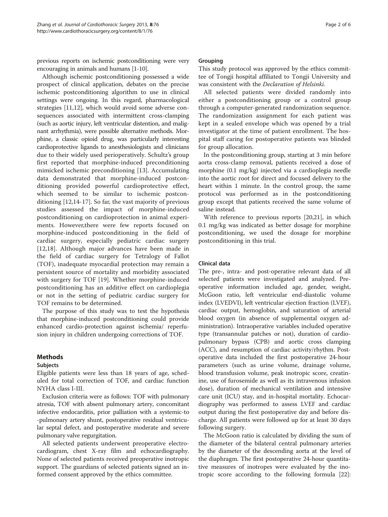previous reports on ischemic postconditioning were very encouraging in animals and humans [\[1](#page-5-0)-[10](#page-5-0)].

Although ischemic postconditioning possessed a wide prospect of clinical application, debates on the precise ischemic postconditioning algorithm to use in clinical settings were ongoing. In this regard, pharmacological strategies [\[11,12](#page-5-0)], which would avoid some adverse consequences associated with intermittent cross-clamping (such as aortic injury, left ventricular distention, and malignant arrhythmia), were possible alternative methods. Morphine, a classic opioid drug, was particularly interesting cardioprotective ligands to anesthesiologists and clinicians due to their widely used perioperatively. Schultz's group first reported that morphine-induced preconditioning mimicked ischemic preconditioning [[13\]](#page-5-0). Accumulating data demonstrated that morphine-induced postconditioning provided powerful cardioprotective effect, which seemed to be similar to ischemic postconditioning [[12,14](#page-5-0)-[17](#page-5-0)]. So far, the vast majority of previous studies assessed the impact of morphine-induced postconditioning on cardioprotection in animal experiments. However,there were few reports focused on morphine-induced postconditioning in the field of cardiac surgery, especially pediatric cardiac surgery [[12,18](#page-5-0)]. Although major advances have been made in the field of cardiac surgery for Tetralogy of Fallot (TOF), inadequate myocardial protection may remain a persistent source of mortality and morbidity associated with surgery for TOF [[19](#page-5-0)]. Whether morphine-induced postconditioning has an additive effect on cardioplegia or not in the setting of pediatric cardiac surgery for TOF remains to be determined.

The purpose of this study was to test the hypothesis that morphine-induced postconditioning could provide enhanced cardio-protection against ischemia/ reperfusion injury in children undergoing corrections of TOF.

# Methods

### Subjects

Eligible patients were less than 18 years of age, scheduled for total correction of TOF, and cardiac function NYHA class I-III.

Exclusion criteria were as follows: TOF with pulmonary atresia, TOF with absent pulmonary artery, concomitant infective endocarditis, prior palliation with a systemic-to -pulmonary artery shunt, postoperative residual ventricular septal defect, and postoperative moderate and severe pulmonary valve regurgitation.

All selected patients underwent preoperative electrocardiogram, chest X-ray film and echocardiography. None of selected patients received preoperative inotropic support. The guardians of selected patients signed an informed consent approved by the ethics committee.

### Grouping

This study protocol was approved by the ethics committee of Tongji hospital affiliated to Tongji University and was consistent with the Declaration of Helsinki.

All selected patients were divided randomly into either a postconditioning group or a control group through a computer-generated randomization sequence. The randomization assignment for each patient was kept in a sealed envelope which was opened by a trial investigator at the time of patient enrollment. The hospital staff caring for postoperative patients was blinded for group allocation.

In the postconditioning group, starting at 3 min before aorta cross-clamp removal, patients received a dose of morphine (0.1 mg/kg) injected via a cardioplegia needle into the aortic root for direct and focused delivery to the heart within 1 minute. In the control group, the same protocol was performed as in the postconditioning group except that patients received the same volume of saline instead.

With reference to previous reports [[20,21\]](#page-5-0), in which 0.1 mg/kg was indicated as better dosage for morphine postconditioning, we used the dosage for morphine postconditioning in this trial.

# Clinical data

The pre-, intra- and post-operative relevant data of all selected patients were investigated and analyzed. Preoperative information included age, gender, weight, McGoon ratio, left ventricular end-diastolic volume index (LVEDVI), left ventricular ejection fraction (LVEF), cardiac output, hemoglobin, and saturation of arterial blood oxygen (in absence of supplemental oxygen administration). Intraoperative variables included operative type (transannular patches or not), duration of cardiopulmonary bypass (CPB) and aortic cross clamping (ACC), and resumption of cardiac activity/rhythm. Postoperative data included the first postoperative 24-hour parameters (such as urine volume, drainage volume, blood transfusion volume, peak inotropic score, creatinine, use of furosemide as well as its intravenous infusion dose), duration of mechanical ventilation and intensive care unit (ICU) stay, and in-hospital mortality. Echocardiography was performed to assess LVEF and cardiac output during the first postoperative day and before discharge. All patients were followed up for at least 30 days following surgery.

The McGoon ratio is calculated by dividing the sum of the diameter of the bilateral central pulmonary arteries by the diameter of the descending aorta at the level of the diaphragm. The first postoperative 24-hour quantitative measures of inotropes were evaluated by the inotropic score according to the following formula [\[22](#page-5-0)]: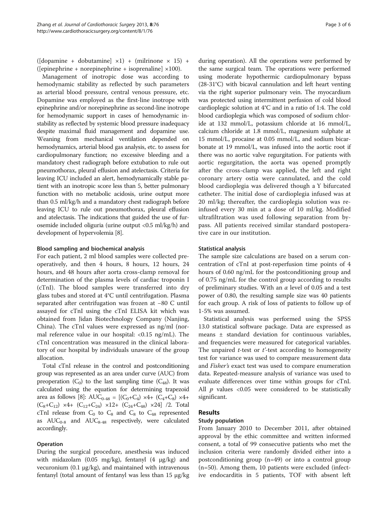$([dopamine + dobutamine] \times 1) + (milrinone \times 15) +$ ([epinephrine + norepinephrine + isoprenaline]  $\times$ 100).

Management of inotropic dose was according to hemodynamic stability as reflected by such parameters as arterial blood pressure, central venous pressure, etc. Dopamine was employed as the first-line inotrope with epinephrine and/or norepinephrine as second-line inotrope for hemodynamic support in cases of hemodynamic instability as reflected by systemic blood pressure inadequacy despite maximal fluid management and dopamine use. Weaning from mechanical ventilation depended on hemodynamics, arterial blood gas analysis, etc. to assess for cardiopulmonary function; no excessive bleeding and a mandatory chest radiograph before extubation to rule out pneumothorax, pleural effusion and atelectasis. Criteria for leaving ICU included an alert, hemodynamically stable patient with an inotropic score less than 5, better pulmonary function with no metabolic acidosis, urine output more than 0.5 ml/kg/h and a mandatory chest radiograph before leaving ICU to rule out pneumothorax, pleural effusion and atelectasis. The indications that guided the use of furosemide included oliguria (urine output <0.5 ml/kg/h) and development of hypervolemia [[8\]](#page-5-0).

## Blood sampling and biochemical analysis

For each patient, 2 ml blood samples were collected preoperatively, and then 4 hours, 8 hours, 12 hours, 24 hours, and 48 hours after aorta cross-clamp removal for determination of the plasma levels of cardiac troponin I (cTnI). The blood samples were transferred into dry glass tubes and stored at 4°C until centrifugation. Plasma separated after centrifugation was frozen at −80 C until assayed for cTnI using the cTnI ELISA kit which was obtained from Jidan Biotechnology Company (Nanjing, China). The cTnI values were expressed as ng/ml (normal reference value in our hospital:  $< 0.15$  ng/mL). The cTnI concentration was measured in the clinical laboratory of our hospital by individuals unaware of the group allocation.

Total cTnI release in the control and postconditioning group was represented as an area under curve (AUC) from preoperation  $(C_0)$  to the last sampling time  $(C_{48})$ . It was calculated using the equation for determining trapezoid area as follows [\[8](#page-5-0)]:  $AUC_{0-48} = [(C_0+C_4) \times 4 + (C_4+C_8) \times 4 +$  $(C_8+C_{12})$  ×4+  $(C_{12}+C_{24})$  ×12+  $(C_{24}+C_{48})$  ×24] /2. Total cTnI release from  $C_0$  to  $C_8$  and  $C_8$  to  $C_{48}$  represented as  $AUC_{0-8}$  and  $AUC_{8-48}$  respectively, were calculated accordingly.

## Operation

During the surgical procedure, anesthesia was induced with midazolam (0.05 mg/kg), fentanyl (4 μg/kg) and vecuronium (0.1 μg/kg), and maintained with intravenous fentanyl (total amount of fentanyl was less than 15 μg/kg

during operation). All the operations were performed by the same surgical team. The operations were performed using moderate hypothermic cardiopulmonary bypass (28-31°C) with bicaval cannulation and left heart venting via the right superior pulmonary vein. The myocardium was protected using intermittent perfusion of cold blood cardioplegic solution at 4°C and in a ratio of 1:4. The cold blood cardioplegia which was composed of sodium chloride at 132 mmol/L, potassium chloride at 16 mmol/L, calcium chloride at 1.8 mmol/L, magnesium sulphate at 15 mmol/L, procaine at 0.05 mmol/L, and sodium bicarbonate at 19 mmol/L, was infused into the aortic root if there was no aortic valve regurgitation. For patients with aortic regurgitation, the aorta was opened promptly after the cross-clamp was applied, the left and right coronary artery ostia were cannulated, and the cold blood cardioplegia was delivered though a Y bifurcated catheter. The initial dose of cardioplegia infused was at 20 ml/kg; thereafter, the cardioplegia solution was reinfused every 30 min at a dose of 10 ml/kg. Modified ultrafiltration was used following separation from bypass. All patients received similar standard postoperative care in our institution.

# Statistical analysis

The sample size calculations are based on a serum concentration of cTnI at post-reperfusion time points of 4 hours of 0.60 ng/mL for the postconditioning group and of 0.75 ng/mL for the control group according to results of preliminary studies. With an  $\alpha$  level of 0.05 and a test power of 0.80, the resulting sample size was 40 patients for each group. A risk of loss of patients to follow up of 1-5% was assumed.

Statistical analysis was performed using the SPSS 13.0 statistical software package. Data are expressed as means ± standard deviation for continuous variables, and frequencies were measured for categorical variables. The unpaired  $t$ -test or  $t'$ -test according to homogeneity test for variance was used to compare measurement data and Fisher's exact test was used to compare enumeration data. Repeated-measure analysis of variance was used to evaluate differences over time within groups for cTnI. All  $p$  values <0.05 were considered to be statistically significant.

### Results

# Study population

From January 2010 to December 2011, after obtained approval by the ethic committee and written informed consent, a total of 99 consecutive patients who met the inclusion criteria were randomly divided either into a postconditioning group (n=49) or into a control group (n=50). Among them, 10 patients were excluded (infective endocarditis in 5 patients, TOF with absent left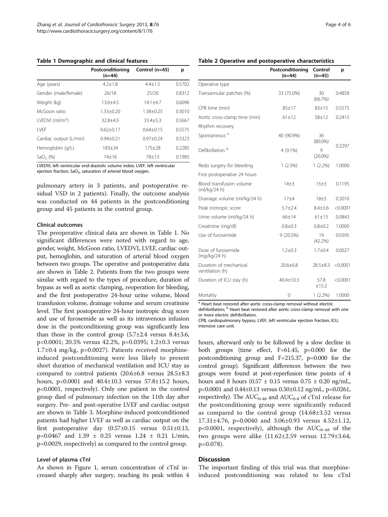Table 1 Demographic and clinical features

|                         | Postconditioning<br>$(n=44)$ | Control (n=45) | р      |
|-------------------------|------------------------------|----------------|--------|
| Age (years)             | $4.2 + 1.8$                  | $4.4 + 1.5$    | 0.5702 |
| Gender (male/female)    | 26/18                        | 25/20          | 0.8312 |
| Weight (kg)             | $13.6 + 4.5$                 | $14.1 + 4.7$   | 0.6096 |
| McGoon ratio            | $1.33 + 0.20$                | $1.38 + 0.25$  | 0.3010 |
| LVEDVI $(mI/m2)$        | $32.8 + 4.5$                 | $33.4 + 5.3$   | 0.5667 |
| I VFF                   | $0.62 + 0.17$                | $0.64 + 0.15$  | 0.5575 |
| Cardiac output (L/min)  | $0.94 + 0.21$                | $0.97 + 0.24$  | 0.5323 |
| Hemoglobin (g/L)        | 183±34                       | $175 + 28$     | 0.2285 |
| SaO <sub>2</sub> $(\%)$ | $74 + 16$                    | $78 + 13$      | 0.1985 |

LVEDVI, left ventricular end-diastolic volume index; LVEF, left ventricular ejection fraction;  $SaO<sub>2</sub>$ , saturation of arterial blood oxygen.

pulmonary artery in 3 patients, and postoperative residual VSD in 2 patients). Finally, the outcome analysis was conducted on 44 patients in the postconditioning group and 45 patients in the control group.

#### Clinical outcomes

The preoperative clinical data are shown in Table 1. No significant differences were noted with regard to age, gender, weight, McGoon ratio, LVEDVI, LVEF, cardiac output, hemoglobin, and saturation of arterial blood oxygen between two groups. The operative and postoperative data are shown in Table 2. Patients from the two groups were similar with regard to the types of procedure, duration of bypass as well as aortic clamping, reoperation for bleeding, and the first postoperative 24-hour urine volume, blood transfusion volume, drainage volume and serum creatinine level. The first postoperative 24-hour inotropic drug score and use of furosemide as well as its intravenous infusion dose in the postconditioning group was significantly less than those in the control group  $(5.7\pm2.4$  versus  $8.4\pm3.6$ , p<0.0001; 20.5% versus 42.2%, p=0.0395; 1.2±0.3 versus 1.7±0.4 mg/kg, p=0.0027). Patients received morphineinduced postconditioning were less likely to present short duration of mechanical ventilation and ICU stay as compared to control patients (20.6±6.8 versus 28.5±8.3 hours, p<0.0001 and 40.4±10.3 versus 57.8±15.2 hours, p<0.0001, respectively). Only one patient in the control group died of pulmonary infection on the 11th day after surgery. Pre- and post-operative LVEF and cardiac output are shown in Table [3](#page-4-0). Morphine-induced postconditioned patients had higher LVEF as well as cardiac output on the first postoperative day (0.57±0.15 versus 0.51±0.13, p=0.0467 and  $1.39 \pm 0.25$  versus  $1.24 \pm 0.21$  L/min, p=0.0029, respectively) as compared to the control group.

#### Level of plasma cTnI

As shown in Figure [1,](#page-4-0) serum concentration of cTnI increased sharply after surgery, reaching its peak within 4

#### Table 2 Operative and postoperative characteristics

|                                           | Postconditioning<br>$(n=44)$ | Control<br>$(n=45)$ | р        |
|-------------------------------------------|------------------------------|---------------------|----------|
| Operative type                            |                              |                     |          |
| Transannular patches (%)                  | 33 (75.0%)                   | 30<br>(66.7%)       | 0.4858   |
| CPB time (min)                            | $85 + 17$                    | $83 + 15$           | 0.5575   |
| Aortic cross-clamp time (min)             | $61 \pm 12$                  | $58 + 12$           | 0.2415   |
| Rhythm recovery                           |                              |                     |          |
| Spontaneous <sup>a</sup>                  | 40 (90.9%)                   | 36<br>$(80.0\%)$    |          |
| Defibrillation <sup>b</sup>               | $4(9.1\%)$                   | 9<br>$(20.0\%)$     | 0.2297   |
| Redo surgery for bleeding                 | 1(2.3%)                      | $1(2.2\%)$          | 1.0000   |
| First postoperative 24 hours              |                              |                     |          |
| Blood transfusion volume<br>(ml/kg/24 h)  | 14 <sub>±3</sub>             | $15+3$              | 0.1195   |
| Drainage volume (ml/kg/24 h)              | $17 + 4$                     | $18 + 5$            | 0.3010   |
| Peak inotropic score                      | $5.7 + 2.4$                  | $8.4 + 3.6$         | < 0.0001 |
| Urine volume (ml/kg/24 h)                 | $66 + 14$                    | $61 + 13$           | 0.0843   |
| Creatinine (mg/dl)                        | $0.8 + 0.3$                  | $0.8 + 0.2$         | 1.0000   |
| Use of furosemide                         | 9(20.5%)                     | 19<br>$(42.2\%)$    | 0.0395   |
| Dose of furosemide<br>(mg/kg/24 h)        | $1.2 \pm 0.3$                | $1.7 + 0.4$         | 0.0027   |
| Duration of mechanical<br>ventilation (h) | $20.6 \pm 6.8$               | $28.5 \pm 8.3$      | < 0.0001 |
| Duration of ICU stay (h)                  | $40.4 \pm 10.3$              | 57.8<br>±15.2       | < 0.0001 |
| Mortality                                 | 0                            | $1(2.2\%)$          | 1.0000   |

<sup>a</sup> Heart beat restored after aortic cross-clamp removal without electric defribrillation;  $<sup>b</sup>$  Heart beat restored after aortic cross-clamp removal with one</sup> or more electric defribrillation.

CPB, cardiopulmonary bypass; LVEF, left ventricular ejection fraction; ICU, intensive care unit.

hours, afterward only to be followed by a slow decline in both groups (time effect, F=61.45, p=0.000 for the postconditioning group and F=215.37, p=0.000 for the control group). Significant differences between the two groups were found at post-reperfusion time points of 4 hours and 8 hours  $(0.57 \pm 0.15 \text{ versus } 0.75 \pm 0.20 \text{ ng/mL}$ , p<0.0001 and 0.44±0.13 versus 0.50±0.12 ng/mL, p=0.0261, respectively). The  $AUC_{0-48}$  and  $AUC_{0-8}$  of cTnI release for the postconditioning group were significantly reduced as compared to the control group (14.68±3.52 versus 17.31±4.76, p=0.0040 and 3.06±0.93 versus 4.52±1.12,  $p<0.0001$ , respectively), although the  $AUC_{8-48}$  of the two groups were alike (11.62±2.59 versus 12.79±3.64, p=0.078).

#### **Discussion**

The important finding of this trial was that morphineinduced postconditioning was related to less cTnI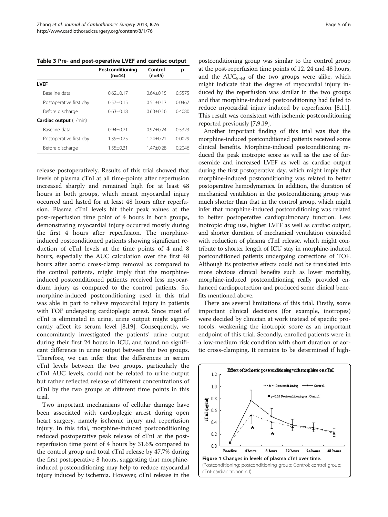<span id="page-4-0"></span>Table 3 Pre- and post-operative LVEF and cardiac output

|                               | Postconditioning<br>$(n=44)$ | Control<br>$(n=45)$ | р             |
|-------------------------------|------------------------------|---------------------|---------------|
| <b>LVEF</b>                   |                              |                     |               |
| Baseline data                 | $062+017$                    | $064 + 015$         | 0.5575        |
| Postoperative first day       | $057 + 015$                  | $0.51 + 0.13$       | 0.0467        |
| Before discharge              | $0.63 + 0.18$                | $060 + 016$         | 04080         |
| <b>Cardiac output</b> (L/min) |                              |                     |               |
| Baseline data                 | $0.94 + 0.21$                | $097 + 0.24$        | 0.5323        |
| Postoperative first day       | $1.39 + 0.25$                | $1.24 + 0.21$       | 0.0029        |
| Before discharge              | $1.55 \pm 0.31$              | $1.47 + 0.28$       | <u>በ 2046</u> |

release postoperatively. Results of this trial showed that levels of plasma cTnI at all time-points after reperfusion increased sharply and remained high for at least 48 hours in both groups, which meant myocardial injury occurred and lasted for at least 48 hours after reperfusion. Plasma cTnI levels hit their peak values at the post-reperfusion time point of 4 hours in both groups, demonstrating myocardial injury occurred mostly during the first 4 hours after reperfusion. The morphineinduced postconditioned patients showing significant reduction of cTnI levels at the time points of 4 and 8 hours, especially the AUC calculation over the first 48 hours after aortic cross-clamp removal as compared to the control patients, might imply that the morphineinduced postconditioned patients received less myocardium injury as compared to the control patients. So, morphine-induced postconditioning used in this trial was able in part to relieve myocardial injury in patients with TOF undergoing cardioplegic arrest. Since most of cTnI is eliminated in urine, urine output might significantly affect its serum level [[8,19\]](#page-5-0). Consequently, we concomitantly investigated the patients' urine output during their first 24 hours in ICU, and found no significant difference in urine output between the two groups. Therefore, we can infer that the differences in serum cTnI levels between the two groups, particularly the cTnI AUC levels, could not be related to urine output but rather reflected release of different concentrations of cTnI by the two groups at different time points in this trial.

Two important mechanisms of cellular damage have been associated with cardioplegic arrest during open heart surgery, namely ischemic injury and reperfusion injury. In this trial, morphine-induced postconditioning reduced postoperative peak release of cTnI at the postreperfusion time point of 4 hours by 31.6% compared to the control group and total cTnI release by 47.7% during the first postoperative 8 hours, suggesting that morphineinduced postconditioning may help to reduce myocardial injury induced by ischemia. However, cTnI release in the

postconditioning group was similar to the control group at the post-reperfusion time points of 12, 24 and 48 hours, and the  $AUC_{8-48}$  of the two groups were alike, which might indicate that the degree of myocardial injury induced by the reperfusion was similar in the two groups and that morphine-induced postconditioning had failed to reduce myocardial injury induced by reperfusion [[8,11](#page-5-0)]. This result was consistent with ischemic postconditioning reported previously [\[7,9,19](#page-5-0)].

Another important finding of this trial was that the morphine-induced postconditioned patients received some clinical benefits. Morphine-induced postconditioning reduced the peak inotropic score as well as the use of furosemide and increased LVEF as well as cardiac output during the first postoperative day, which might imply that morphine-induced postconditioning was related to better postoperative hemodynamics. In addition, the duration of mechanical ventilation in the postconditioning group was much shorter than that in the control group, which might infer that morphine-induced postconditioning was related to better postoperative cardiopulmonary function. Less inotropic drug use, higher LVEF as well as cardiac output, and shorter duration of mechanical ventilation coincided with reduction of plasma cTnI release, which might contribute to shorter length of ICU stay in morphine-induced postconditioned patients undergoing corrections of TOF. Although its protective effects could not be translated into more obvious clinical benefits such as lower mortality, morphine-induced postconditioning really provided enhanced cardioprotection and produced some clinical benefits mentioned above.

There are several limitations of this trial. Firstly, some important clinical decisions (for example, inotropes) were decided by clinician at work instead of specific protocols, weakening the inotropic score as an important endpoint of this trial. Secondly, enrolled patients were in a low-medium risk condition with short duration of aortic cross-clamping. It remains to be determined if high-